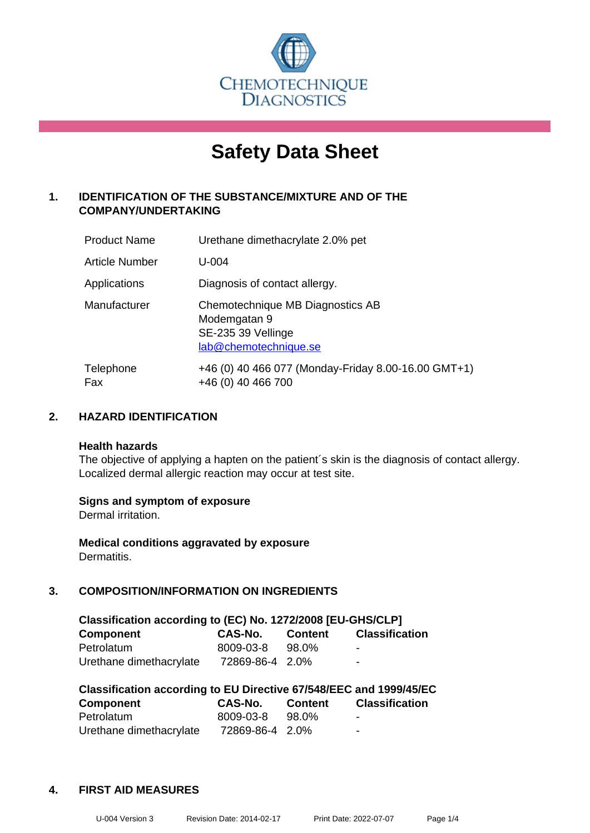

# **Safety Data Sheet**

# **1. IDENTIFICATION OF THE SUBSTANCE/MIXTURE AND OF THE COMPANY/UNDERTAKING**

| <b>Product Name</b> | Urethane dimethacrylate 2.0% pet                                                                |
|---------------------|-------------------------------------------------------------------------------------------------|
| Article Number      | $U - 004$                                                                                       |
| Applications        | Diagnosis of contact allergy.                                                                   |
| Manufacturer        | Chemotechnique MB Diagnostics AB<br>Modemgatan 9<br>SE-235 39 Vellinge<br>lab@chemotechnique.se |
| Telephone<br>Fax    | +46 (0) 40 466 077 (Monday-Friday 8.00-16.00 GMT+1)<br>+46 (0) 40 466 700                       |

# **2. HAZARD IDENTIFICATION**

#### **Health hazards**

The objective of applying a hapten on the patient's skin is the diagnosis of contact allergy. Localized dermal allergic reaction may occur at test site.

#### **Signs and symptom of exposure**

Dermal irritation.

**Medical conditions aggravated by exposure** Dermatitis.

# **3. COMPOSITION/INFORMATION ON INGREDIENTS**

| Classification according to (EC) No. 1272/2008 [EU-GHS/CLP] |                 |                |                       |  |  |
|-------------------------------------------------------------|-----------------|----------------|-----------------------|--|--|
| <b>Component</b>                                            | <b>CAS-No.</b>  | <b>Content</b> | <b>Classification</b> |  |  |
| Petrolatum                                                  | 8009-03-8       | 98.0%          | ۰.                    |  |  |
| Urethane dimethacrylate                                     | 72869-86-4 2.0% |                | ۰.                    |  |  |

| Classification according to EU Directive 67/548/EEC and 1999/45/EC |                 |                |                       |  |  |
|--------------------------------------------------------------------|-----------------|----------------|-----------------------|--|--|
| <b>Component</b>                                                   | CAS-No.         | <b>Content</b> | <b>Classification</b> |  |  |
| Petrolatum                                                         | 8009-03-8       | 98.0%          | -                     |  |  |
| Urethane dimethacrylate                                            | 72869-86-4 2.0% |                | -                     |  |  |

#### **4. FIRST AID MEASURES**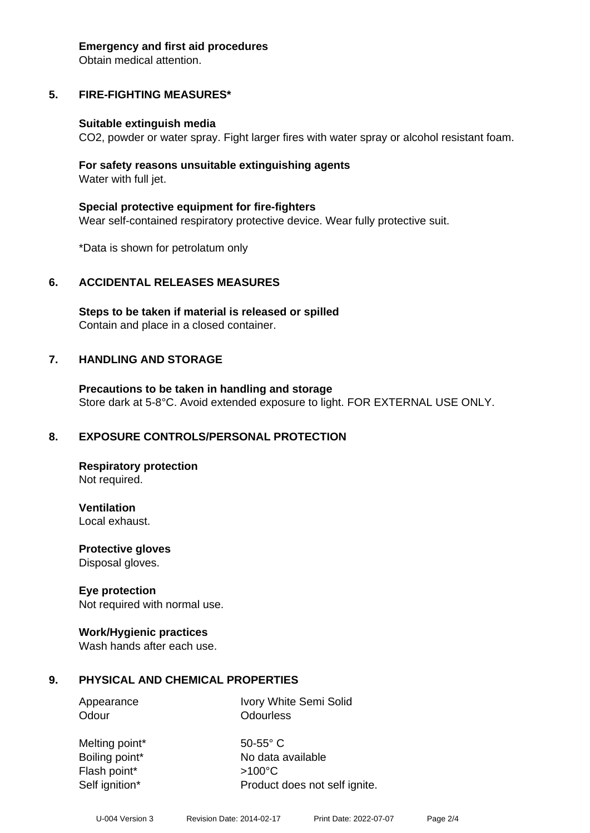#### **Emergency and first aid procedures**

Obtain medical attention.

# **5. FIRE-FIGHTING MEASURES\***

#### **Suitable extinguish media**

CO2, powder or water spray. Fight larger fires with water spray or alcohol resistant foam.

#### **For safety reasons unsuitable extinguishing agents** Water with full jet.

**Special protective equipment for fire-fighters** Wear self-contained respiratory protective device. Wear fully protective suit.

\*Data is shown for petrolatum only

#### **6. ACCIDENTAL RELEASES MEASURES**

**Steps to be taken if material is released or spilled** Contain and place in a closed container.

#### **7. HANDLING AND STORAGE**

**Precautions to be taken in handling and storage** Store dark at 5-8°C. Avoid extended exposure to light. FOR EXTERNAL USE ONLY.

#### **8. EXPOSURE CONTROLS/PERSONAL PROTECTION**

**Respiratory protection** Not required.

**Ventilation** Local exhaust.

**Protective gloves**

Disposal gloves.

#### **Eye protection**

Not required with normal use.

#### **Work/Hygienic practices**

Wash hands after each use.

#### **9. PHYSICAL AND CHEMICAL PROPERTIES**

Appearance Ivory White Semi Solid Odour **Odourless** 

Melting point\* 50-55° C Flash point\* >100°C Self ignition\* Product does not self ignite.

Boiling point\* No data available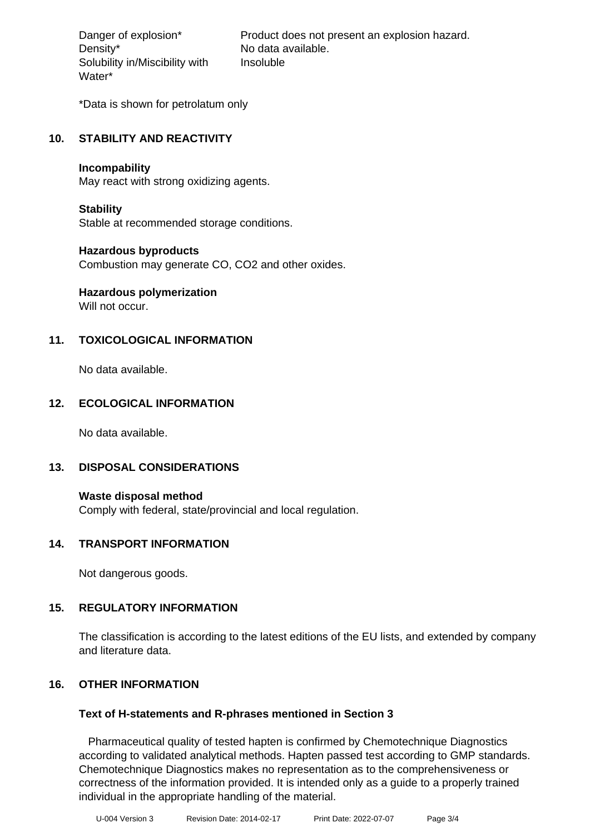Density\* No data available. Solubility in/Miscibility with Water\*

Danger of explosion\* Product does not present an explosion hazard. Insoluble

\*Data is shown for petrolatum only

# **10. STABILITY AND REACTIVITY**

#### **Incompability**

May react with strong oxidizing agents.

#### **Stability**

Stable at recommended storage conditions.

#### **Hazardous byproducts**

Combustion may generate CO, CO2 and other oxides.

# **Hazardous polymerization**

Will not occur.

# **11. TOXICOLOGICAL INFORMATION**

No data available.

#### **12. ECOLOGICAL INFORMATION**

No data available.

#### **13. DISPOSAL CONSIDERATIONS**

**Waste disposal method** Comply with federal, state/provincial and local regulation.

#### **14. TRANSPORT INFORMATION**

Not dangerous goods.

#### **15. REGULATORY INFORMATION**

The classification is according to the latest editions of the EU lists, and extended by company and literature data.

#### **16. OTHER INFORMATION**

#### **Text of H-statements and R-phrases mentioned in Section 3**

 Pharmaceutical quality of tested hapten is confirmed by Chemotechnique Diagnostics according to validated analytical methods. Hapten passed test according to GMP standards. Chemotechnique Diagnostics makes no representation as to the comprehensiveness or correctness of the information provided. It is intended only as a guide to a properly trained individual in the appropriate handling of the material.